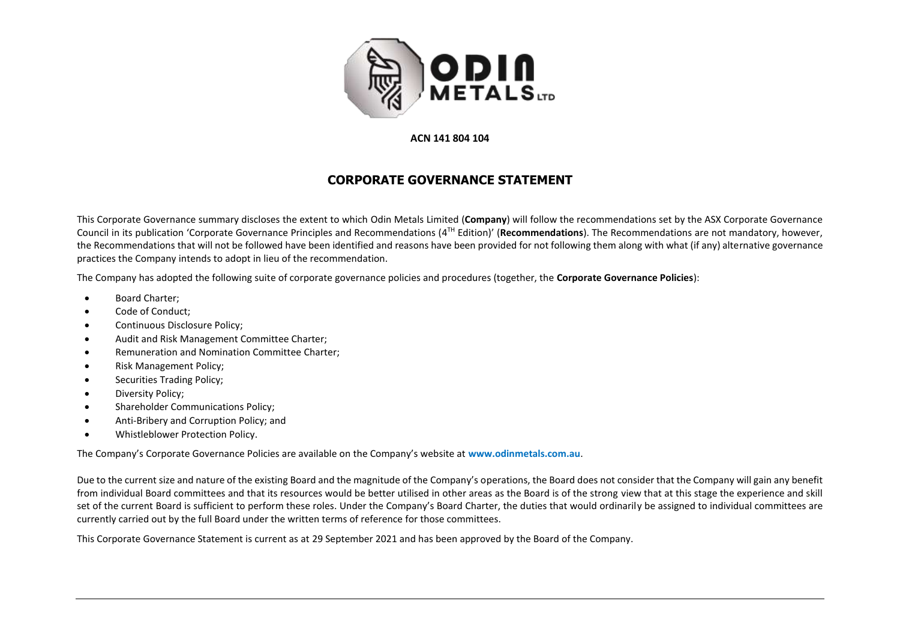

## **ACN 141 804 104**

## **CORPORATE GOVERNANCE STATEMENT**

This Corporate Governance summary discloses the extent to which Odin Metals Limited (**Company**) will follow the recommendations set by the ASX Corporate Governance Council in its publication 'Corporate Governance Principles and Recommendations (4<sup>TH</sup> Edition)' (Recommendations). The Recommendations are not mandatory, however, the Recommendations that will not be followed have been identified and reasons have been provided for not following them along with what (if any) alternative governance practices the Company intends to adopt in lieu of the recommendation.

The Company has adopted the following suite of corporate governance policies and procedures (together, the **Corporate Governance Policies**):

- Board Charter;
- Code of Conduct;
- Continuous Disclosure Policy;
- Audit and Risk Management Committee Charter;
- Remuneration and Nomination Committee Charter;
- Risk Management Policy;
- Securities Trading Policy;
- Diversity Policy;
- Shareholder Communications Policy;
- Anti-Bribery and Corruption Policy; and
- Whistleblower Protection Policy.

The Company's Corporate Governance Policies are available on the Company's website at **www.odinmetals.com.au**.

Due to the current size and nature of the existing Board and the magnitude of the Company's operations, the Board does not consider that the Company will gain any benefit from individual Board committees and that its resources would be better utilised in other areas as the Board is of the strong view that at this stage the experience and skill set of the current Board is sufficient to perform these roles. Under the Company's Board Charter, the duties that would ordinarily be assigned to individual committees are currently carried out by the full Board under the written terms of reference for those committees.

This Corporate Governance Statement is current as at 29 September 2021 and has been approved by the Board of the Company.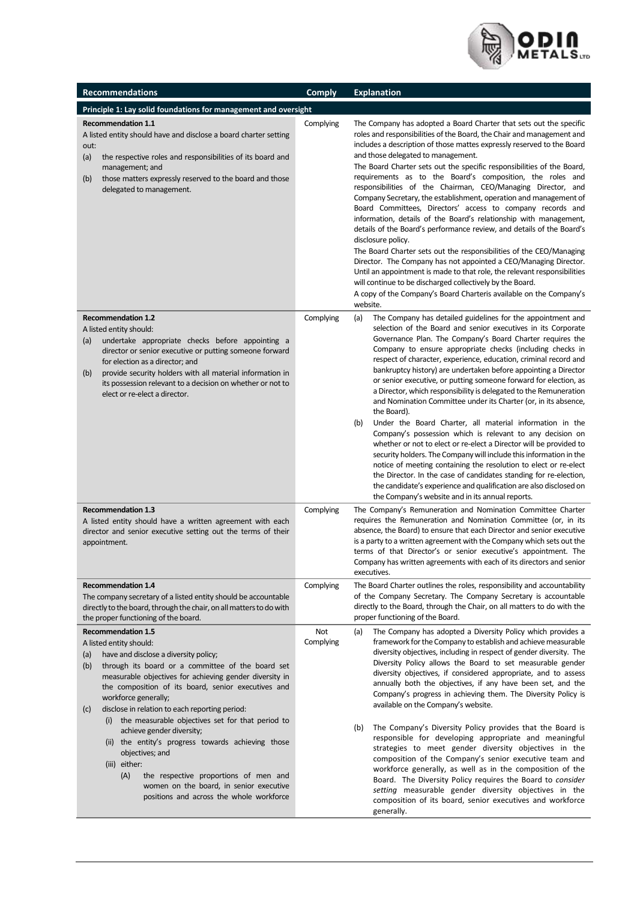

| <b>Recommendations</b>                                                                                                                                                                                                                                                                                                                                                                                                                                                                                                                                                                                                                                                                    | <b>Comply</b>    | <b>Explanation</b>                                                                                                                                                                                                                                                                                                                                                                                                                                                                                                                                                                                                                                                                                                                                                                                                                                                                                                                                                                                                                                                                                                                                                             |  |  |
|-------------------------------------------------------------------------------------------------------------------------------------------------------------------------------------------------------------------------------------------------------------------------------------------------------------------------------------------------------------------------------------------------------------------------------------------------------------------------------------------------------------------------------------------------------------------------------------------------------------------------------------------------------------------------------------------|------------------|--------------------------------------------------------------------------------------------------------------------------------------------------------------------------------------------------------------------------------------------------------------------------------------------------------------------------------------------------------------------------------------------------------------------------------------------------------------------------------------------------------------------------------------------------------------------------------------------------------------------------------------------------------------------------------------------------------------------------------------------------------------------------------------------------------------------------------------------------------------------------------------------------------------------------------------------------------------------------------------------------------------------------------------------------------------------------------------------------------------------------------------------------------------------------------|--|--|
| Principle 1: Lay solid foundations for management and oversight                                                                                                                                                                                                                                                                                                                                                                                                                                                                                                                                                                                                                           |                  |                                                                                                                                                                                                                                                                                                                                                                                                                                                                                                                                                                                                                                                                                                                                                                                                                                                                                                                                                                                                                                                                                                                                                                                |  |  |
| <b>Recommendation 1.1</b><br>A listed entity should have and disclose a board charter setting<br>out:<br>(a)<br>the respective roles and responsibilities of its board and<br>management; and<br>those matters expressly reserved to the board and those<br>(b)<br>delegated to management.                                                                                                                                                                                                                                                                                                                                                                                               | Complying        | The Company has adopted a Board Charter that sets out the specific<br>roles and responsibilities of the Board, the Chair and management and<br>includes a description of those mattes expressly reserved to the Board<br>and those delegated to management.<br>The Board Charter sets out the specific responsibilities of the Board,<br>requirements as to the Board's composition, the roles and<br>responsibilities of the Chairman, CEO/Managing Director, and<br>Company Secretary, the establishment, operation and management of<br>Board Committees, Directors' access to company records and<br>information, details of the Board's relationship with management,<br>details of the Board's performance review, and details of the Board's<br>disclosure policy.<br>The Board Charter sets out the responsibilities of the CEO/Managing<br>Director. The Company has not appointed a CEO/Managing Director.<br>Until an appointment is made to that role, the relevant responsibilities<br>will continue to be discharged collectively by the Board.<br>A copy of the Company's Board Charteris available on the Company's<br>website.                                |  |  |
| <b>Recommendation 1.2</b><br>A listed entity should:<br>undertake appropriate checks before appointing a<br>(a)<br>director or senior executive or putting someone forward<br>for election as a director; and<br>provide security holders with all material information in<br>(b)<br>its possession relevant to a decision on whether or not to<br>elect or re-elect a director.                                                                                                                                                                                                                                                                                                          | Complying        | (a)<br>The Company has detailed guidelines for the appointment and<br>selection of the Board and senior executives in its Corporate<br>Governance Plan. The Company's Board Charter requires the<br>Company to ensure appropriate checks (including checks in<br>respect of character, experience, education, criminal record and<br>bankruptcy history) are undertaken before appointing a Director<br>or senior executive, or putting someone forward for election, as<br>a Director, which responsibility is delegated to the Remuneration<br>and Nomination Committee under its Charter (or, in its absence,<br>the Board).<br>Under the Board Charter, all material information in the<br>(b)<br>Company's possession which is relevant to any decision on<br>whether or not to elect or re-elect a Director will be provided to<br>security holders. The Company will include this information in the<br>notice of meeting containing the resolution to elect or re-elect<br>the Director. In the case of candidates standing for re-election,<br>the candidate's experience and qualification are also disclosed on<br>the Company's website and in its annual reports. |  |  |
| <b>Recommendation 1.3</b><br>A listed entity should have a written agreement with each<br>director and senior executive setting out the terms of their<br>appointment.                                                                                                                                                                                                                                                                                                                                                                                                                                                                                                                    | Complying        | The Company's Remuneration and Nomination Committee Charter<br>requires the Remuneration and Nomination Committee (or, in its<br>absence, the Board) to ensure that each Director and senior executive<br>is a party to a written agreement with the Company which sets out the<br>terms of that Director's or senior executive's appointment. The<br>Company has written agreements with each of its directors and senior<br>executives.                                                                                                                                                                                                                                                                                                                                                                                                                                                                                                                                                                                                                                                                                                                                      |  |  |
| <b>Recommendation 1.4</b><br>The company secretary of a listed entity should be accountable<br>directly to the board, through the chair, on all matters to do with<br>the proper functioning of the board.                                                                                                                                                                                                                                                                                                                                                                                                                                                                                | Complying        | The Board Charter outlines the roles, responsibility and accountability<br>of the Company Secretary. The Company Secretary is accountable<br>directly to the Board, through the Chair, on all matters to do with the<br>proper functioning of the Board.                                                                                                                                                                                                                                                                                                                                                                                                                                                                                                                                                                                                                                                                                                                                                                                                                                                                                                                       |  |  |
| <b>Recommendation 1.5</b><br>A listed entity should:<br>have and disclose a diversity policy;<br>(a)<br>through its board or a committee of the board set<br>(b)<br>measurable objectives for achieving gender diversity in<br>the composition of its board, senior executives and<br>workforce generally;<br>disclose in relation to each reporting period:<br>(c)<br>(i) the measurable objectives set for that period to<br>achieve gender diversity;<br>(ii) the entity's progress towards achieving those<br>objectives; and<br>(iii) either:<br>(A)<br>the respective proportions of men and<br>women on the board, in senior executive<br>positions and across the whole workforce | Not<br>Complying | (a)<br>The Company has adopted a Diversity Policy which provides a<br>framework for the Company to establish and achieve measurable<br>diversity objectives, including in respect of gender diversity. The<br>Diversity Policy allows the Board to set measurable gender<br>diversity objectives, if considered appropriate, and to assess<br>annually both the objectives, if any have been set, and the<br>Company's progress in achieving them. The Diversity Policy is<br>available on the Company's website.<br>The Company's Diversity Policy provides that the Board is<br>(b)<br>responsible for developing appropriate and meaningful<br>strategies to meet gender diversity objectives in the<br>composition of the Company's senior executive team and<br>workforce generally, as well as in the composition of the<br>Board. The Diversity Policy requires the Board to consider<br>setting measurable gender diversity objectives in the<br>composition of its board, senior executives and workforce                                                                                                                                                             |  |  |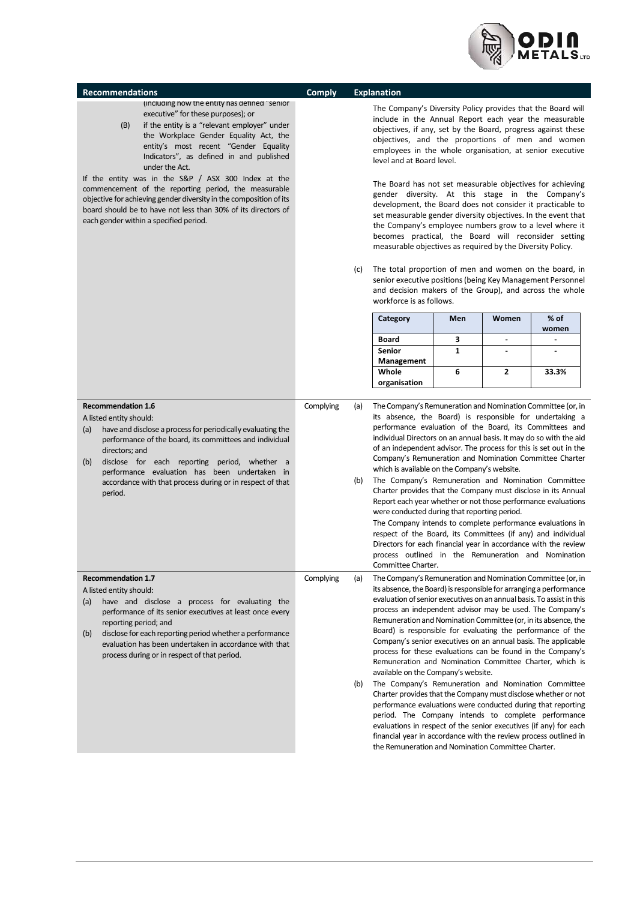

| <b>Recommendations</b>                                                                                                                                                                                                                                                                                                                                                                   | <b>Comply</b> |            | <b>Explanation</b>                                                                                                                                                                                                                                                                                                                                                                                                                                                                                                                                                                                                                                                                                                                                                                                                                                                                                                                                                                                                                                                                         |              |                |               |
|------------------------------------------------------------------------------------------------------------------------------------------------------------------------------------------------------------------------------------------------------------------------------------------------------------------------------------------------------------------------------------------|---------------|------------|--------------------------------------------------------------------------------------------------------------------------------------------------------------------------------------------------------------------------------------------------------------------------------------------------------------------------------------------------------------------------------------------------------------------------------------------------------------------------------------------------------------------------------------------------------------------------------------------------------------------------------------------------------------------------------------------------------------------------------------------------------------------------------------------------------------------------------------------------------------------------------------------------------------------------------------------------------------------------------------------------------------------------------------------------------------------------------------------|--------------|----------------|---------------|
| (including how the entity has defined "senior<br>executive" for these purposes); or<br>if the entity is a "relevant employer" under<br>(B)<br>the Workplace Gender Equality Act, the<br>entity's most recent "Gender Equality<br>Indicators", as defined in and published<br>under the Act.                                                                                              |               |            | The Company's Diversity Policy provides that the Board will<br>include in the Annual Report each year the measurable<br>objectives, if any, set by the Board, progress against these<br>objectives, and the proportions of men and women<br>employees in the whole organisation, at senior executive<br>level and at Board level.                                                                                                                                                                                                                                                                                                                                                                                                                                                                                                                                                                                                                                                                                                                                                          |              |                |               |
| If the entity was in the S&P / ASX 300 Index at the<br>commencement of the reporting period, the measurable<br>objective for achieving gender diversity in the composition of its<br>board should be to have not less than 30% of its directors of<br>each gender within a specified period.                                                                                             |               |            | The Board has not set measurable objectives for achieving<br>gender diversity. At this stage in the Company's<br>development, the Board does not consider it practicable to<br>set measurable gender diversity objectives. In the event that<br>the Company's employee numbers grow to a level where it<br>becomes practical, the Board will reconsider setting<br>measurable objectives as required by the Diversity Policy.                                                                                                                                                                                                                                                                                                                                                                                                                                                                                                                                                                                                                                                              |              |                |               |
|                                                                                                                                                                                                                                                                                                                                                                                          |               | (c)        | The total proportion of men and women on the board, in<br>senior executive positions (being Key Management Personnel<br>and decision makers of the Group), and across the whole<br>workforce is as follows.                                                                                                                                                                                                                                                                                                                                                                                                                                                                                                                                                                                                                                                                                                                                                                                                                                                                                |              |                |               |
|                                                                                                                                                                                                                                                                                                                                                                                          |               |            | Category                                                                                                                                                                                                                                                                                                                                                                                                                                                                                                                                                                                                                                                                                                                                                                                                                                                                                                                                                                                                                                                                                   | Men          | Women          | % of<br>women |
|                                                                                                                                                                                                                                                                                                                                                                                          |               |            | <b>Board</b>                                                                                                                                                                                                                                                                                                                                                                                                                                                                                                                                                                                                                                                                                                                                                                                                                                                                                                                                                                                                                                                                               | 3            | $\blacksquare$ |               |
|                                                                                                                                                                                                                                                                                                                                                                                          |               |            | Senior<br>Management                                                                                                                                                                                                                                                                                                                                                                                                                                                                                                                                                                                                                                                                                                                                                                                                                                                                                                                                                                                                                                                                       | $\mathbf{1}$ |                |               |
|                                                                                                                                                                                                                                                                                                                                                                                          |               |            | Whole<br>organisation                                                                                                                                                                                                                                                                                                                                                                                                                                                                                                                                                                                                                                                                                                                                                                                                                                                                                                                                                                                                                                                                      | 6            | 2              | 33.3%         |
| <b>Recommendation 1.6</b><br>A listed entity should:<br>have and disclose a process for periodically evaluating the<br>(a)<br>performance of the board, its committees and individual<br>directors; and<br>disclose for each reporting period, whether a<br>(b)<br>performance evaluation has been undertaken in<br>accordance with that process during or in respect of that<br>period. | Complying     | (a)<br>(b) | The Company's Remuneration and Nomination Committee (or, in<br>its absence, the Board) is responsible for undertaking a<br>performance evaluation of the Board, its Committees and<br>individual Directors on an annual basis. It may do so with the aid<br>of an independent advisor. The process for this is set out in the<br>Company's Remuneration and Nomination Committee Charter<br>which is available on the Company's website.<br>The Company's Remuneration and Nomination Committee<br>Charter provides that the Company must disclose in its Annual<br>Report each year whether or not those performance evaluations<br>were conducted during that reporting period.<br>The Company intends to complete performance evaluations in<br>respect of the Board, its Committees (if any) and individual<br>Directors for each financial year in accordance with the review<br>process outlined in the Remuneration and Nomination<br>Committee Charter.                                                                                                                            |              |                |               |
| <b>Recommendation 1.7</b><br>A listed entity should:<br>have and disclose a process for evaluating the<br>(a)<br>performance of its senior executives at least once every<br>reporting period; and<br>disclose for each reporting period whether a performance<br>(b)<br>evaluation has been undertaken in accordance with that<br>process during or in respect of that period.          | Complying     | (a)<br>(b) | The Company's Remuneration and Nomination Committee (or, in<br>its absence, the Board) is responsible for arranging a performance<br>evaluation of senior executives on an annual basis. To assist in this<br>process an independent advisor may be used. The Company's<br>Remuneration and Nomination Committee (or, in its absence, the<br>Board) is responsible for evaluating the performance of the<br>Company's senior executives on an annual basis. The applicable<br>process for these evaluations can be found in the Company's<br>Remuneration and Nomination Committee Charter, which is<br>available on the Company's website.<br>The Company's Remuneration and Nomination Committee<br>Charter provides that the Company must disclose whether or not<br>performance evaluations were conducted during that reporting<br>period. The Company intends to complete performance<br>evaluations in respect of the senior executives (if any) for each<br>financial year in accordance with the review process outlined in<br>the Remuneration and Nomination Committee Charter. |              |                |               |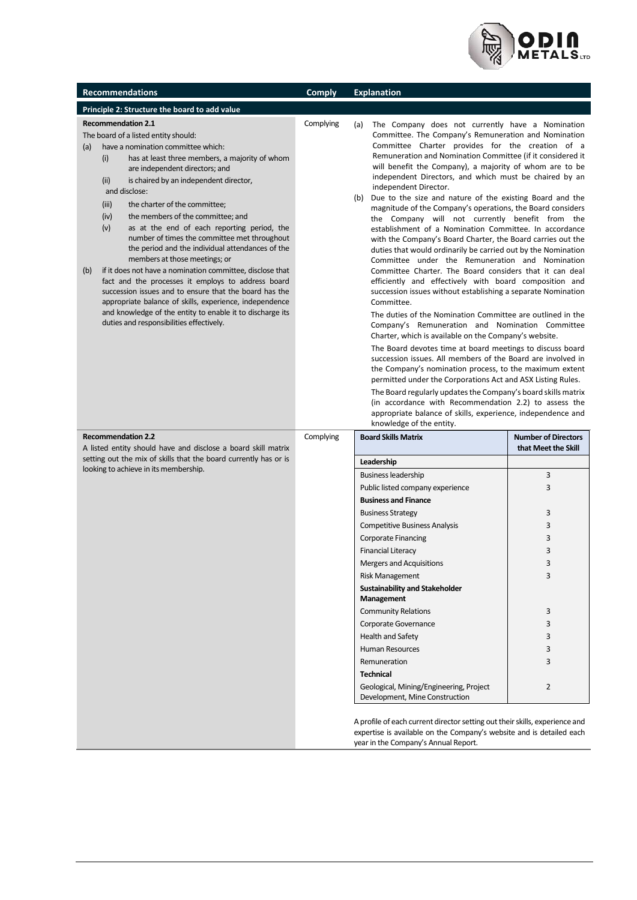

| <b>Recommendations</b>                                                                                                                                                                                                                                                                                                                                                                                                                                                                                                                                                                                                                                                                                                                                                                                                                                                                                                 | <b>Comply</b> | <b>Explanation</b>                                                                                                                                                                                                                                                                                                                                                                                                                                                                                                                                                                                                                                                                                                                                                                                                                                                                                                                                                                                                                                                                                                                                                                                                                                                                                                                                                                                                                                                                                                                                                                                                                                                       |                            |
|------------------------------------------------------------------------------------------------------------------------------------------------------------------------------------------------------------------------------------------------------------------------------------------------------------------------------------------------------------------------------------------------------------------------------------------------------------------------------------------------------------------------------------------------------------------------------------------------------------------------------------------------------------------------------------------------------------------------------------------------------------------------------------------------------------------------------------------------------------------------------------------------------------------------|---------------|--------------------------------------------------------------------------------------------------------------------------------------------------------------------------------------------------------------------------------------------------------------------------------------------------------------------------------------------------------------------------------------------------------------------------------------------------------------------------------------------------------------------------------------------------------------------------------------------------------------------------------------------------------------------------------------------------------------------------------------------------------------------------------------------------------------------------------------------------------------------------------------------------------------------------------------------------------------------------------------------------------------------------------------------------------------------------------------------------------------------------------------------------------------------------------------------------------------------------------------------------------------------------------------------------------------------------------------------------------------------------------------------------------------------------------------------------------------------------------------------------------------------------------------------------------------------------------------------------------------------------------------------------------------------------|----------------------------|
| Principle 2: Structure the board to add value                                                                                                                                                                                                                                                                                                                                                                                                                                                                                                                                                                                                                                                                                                                                                                                                                                                                          |               |                                                                                                                                                                                                                                                                                                                                                                                                                                                                                                                                                                                                                                                                                                                                                                                                                                                                                                                                                                                                                                                                                                                                                                                                                                                                                                                                                                                                                                                                                                                                                                                                                                                                          |                            |
| <b>Recommendation 2.1</b><br>The board of a listed entity should:<br>have a nomination committee which:<br>(a)<br>(i)<br>has at least three members, a majority of whom<br>are independent directors; and<br>is chaired by an independent director,<br>(ii)<br>and disclose:<br>(iii)<br>the charter of the committee;<br>the members of the committee; and<br>(iv)<br>as at the end of each reporting period, the<br>(v)<br>number of times the committee met throughout<br>the period and the individual attendances of the<br>members at those meetings; or<br>if it does not have a nomination committee, disclose that<br>(b)<br>fact and the processes it employs to address board<br>succession issues and to ensure that the board has the<br>appropriate balance of skills, experience, independence<br>and knowledge of the entity to enable it to discharge its<br>duties and responsibilities effectively. | Complying     | The Company does not currently have a Nomination<br>(a)<br>Committee. The Company's Remuneration and Nomination<br>Committee Charter provides for the creation of a<br>Remuneration and Nomination Committee (if it considered it<br>will benefit the Company), a majority of whom are to be<br>independent Directors, and which must be chaired by an<br>independent Director.<br>(b)<br>Due to the size and nature of the existing Board and the<br>magnitude of the Company's operations, the Board considers<br>the Company will not currently benefit from the<br>establishment of a Nomination Committee. In accordance<br>with the Company's Board Charter, the Board carries out the<br>duties that would ordinarily be carried out by the Nomination<br>Committee under the Remuneration and Nomination<br>Committee Charter. The Board considers that it can deal<br>efficiently and effectively with board composition and<br>succession issues without establishing a separate Nomination<br>Committee.<br>The duties of the Nomination Committee are outlined in the<br>Company's Remuneration and Nomination Committee<br>Charter, which is available on the Company's website.<br>The Board devotes time at board meetings to discuss board<br>succession issues. All members of the Board are involved in<br>the Company's nomination process, to the maximum extent<br>permitted under the Corporations Act and ASX Listing Rules.<br>The Board regularly updates the Company's board skills matrix<br>(in accordance with Recommendation 2.2) to assess the<br>appropriate balance of skills, experience, independence and<br>knowledge of the entity. |                            |
| <b>Recommendation 2.2</b>                                                                                                                                                                                                                                                                                                                                                                                                                                                                                                                                                                                                                                                                                                                                                                                                                                                                                              | Complying     | <b>Board Skills Matrix</b>                                                                                                                                                                                                                                                                                                                                                                                                                                                                                                                                                                                                                                                                                                                                                                                                                                                                                                                                                                                                                                                                                                                                                                                                                                                                                                                                                                                                                                                                                                                                                                                                                                               | <b>Number of Directors</b> |
| A listed entity should have and disclose a board skill matrix<br>setting out the mix of skills that the board currently has or is                                                                                                                                                                                                                                                                                                                                                                                                                                                                                                                                                                                                                                                                                                                                                                                      |               |                                                                                                                                                                                                                                                                                                                                                                                                                                                                                                                                                                                                                                                                                                                                                                                                                                                                                                                                                                                                                                                                                                                                                                                                                                                                                                                                                                                                                                                                                                                                                                                                                                                                          | that Meet the Skill        |
| looking to achieve in its membership.                                                                                                                                                                                                                                                                                                                                                                                                                                                                                                                                                                                                                                                                                                                                                                                                                                                                                  |               | Leadership<br><b>Business leadership</b>                                                                                                                                                                                                                                                                                                                                                                                                                                                                                                                                                                                                                                                                                                                                                                                                                                                                                                                                                                                                                                                                                                                                                                                                                                                                                                                                                                                                                                                                                                                                                                                                                                 | 3                          |
|                                                                                                                                                                                                                                                                                                                                                                                                                                                                                                                                                                                                                                                                                                                                                                                                                                                                                                                        |               | Public listed company experience                                                                                                                                                                                                                                                                                                                                                                                                                                                                                                                                                                                                                                                                                                                                                                                                                                                                                                                                                                                                                                                                                                                                                                                                                                                                                                                                                                                                                                                                                                                                                                                                                                         | 3                          |
|                                                                                                                                                                                                                                                                                                                                                                                                                                                                                                                                                                                                                                                                                                                                                                                                                                                                                                                        |               | <b>Business and Finance</b>                                                                                                                                                                                                                                                                                                                                                                                                                                                                                                                                                                                                                                                                                                                                                                                                                                                                                                                                                                                                                                                                                                                                                                                                                                                                                                                                                                                                                                                                                                                                                                                                                                              |                            |
|                                                                                                                                                                                                                                                                                                                                                                                                                                                                                                                                                                                                                                                                                                                                                                                                                                                                                                                        |               | <b>Business Strategy</b>                                                                                                                                                                                                                                                                                                                                                                                                                                                                                                                                                                                                                                                                                                                                                                                                                                                                                                                                                                                                                                                                                                                                                                                                                                                                                                                                                                                                                                                                                                                                                                                                                                                 | 3                          |
|                                                                                                                                                                                                                                                                                                                                                                                                                                                                                                                                                                                                                                                                                                                                                                                                                                                                                                                        |               | <b>Competitive Business Analysis</b>                                                                                                                                                                                                                                                                                                                                                                                                                                                                                                                                                                                                                                                                                                                                                                                                                                                                                                                                                                                                                                                                                                                                                                                                                                                                                                                                                                                                                                                                                                                                                                                                                                     | 3                          |
|                                                                                                                                                                                                                                                                                                                                                                                                                                                                                                                                                                                                                                                                                                                                                                                                                                                                                                                        |               | <b>Corporate Financing</b>                                                                                                                                                                                                                                                                                                                                                                                                                                                                                                                                                                                                                                                                                                                                                                                                                                                                                                                                                                                                                                                                                                                                                                                                                                                                                                                                                                                                                                                                                                                                                                                                                                               | 3                          |
|                                                                                                                                                                                                                                                                                                                                                                                                                                                                                                                                                                                                                                                                                                                                                                                                                                                                                                                        |               | <b>Financial Literacy</b>                                                                                                                                                                                                                                                                                                                                                                                                                                                                                                                                                                                                                                                                                                                                                                                                                                                                                                                                                                                                                                                                                                                                                                                                                                                                                                                                                                                                                                                                                                                                                                                                                                                | 3                          |
|                                                                                                                                                                                                                                                                                                                                                                                                                                                                                                                                                                                                                                                                                                                                                                                                                                                                                                                        |               | Mergers and Acquisitions                                                                                                                                                                                                                                                                                                                                                                                                                                                                                                                                                                                                                                                                                                                                                                                                                                                                                                                                                                                                                                                                                                                                                                                                                                                                                                                                                                                                                                                                                                                                                                                                                                                 | З                          |
|                                                                                                                                                                                                                                                                                                                                                                                                                                                                                                                                                                                                                                                                                                                                                                                                                                                                                                                        |               | <b>Risk Management</b>                                                                                                                                                                                                                                                                                                                                                                                                                                                                                                                                                                                                                                                                                                                                                                                                                                                                                                                                                                                                                                                                                                                                                                                                                                                                                                                                                                                                                                                                                                                                                                                                                                                   | 3                          |
|                                                                                                                                                                                                                                                                                                                                                                                                                                                                                                                                                                                                                                                                                                                                                                                                                                                                                                                        |               | <b>Sustainability and Stakeholder</b><br>Management                                                                                                                                                                                                                                                                                                                                                                                                                                                                                                                                                                                                                                                                                                                                                                                                                                                                                                                                                                                                                                                                                                                                                                                                                                                                                                                                                                                                                                                                                                                                                                                                                      |                            |
|                                                                                                                                                                                                                                                                                                                                                                                                                                                                                                                                                                                                                                                                                                                                                                                                                                                                                                                        |               | <b>Community Relations</b>                                                                                                                                                                                                                                                                                                                                                                                                                                                                                                                                                                                                                                                                                                                                                                                                                                                                                                                                                                                                                                                                                                                                                                                                                                                                                                                                                                                                                                                                                                                                                                                                                                               | 3                          |
|                                                                                                                                                                                                                                                                                                                                                                                                                                                                                                                                                                                                                                                                                                                                                                                                                                                                                                                        |               | Corporate Governance                                                                                                                                                                                                                                                                                                                                                                                                                                                                                                                                                                                                                                                                                                                                                                                                                                                                                                                                                                                                                                                                                                                                                                                                                                                                                                                                                                                                                                                                                                                                                                                                                                                     | 3                          |
|                                                                                                                                                                                                                                                                                                                                                                                                                                                                                                                                                                                                                                                                                                                                                                                                                                                                                                                        |               | Health and Safety                                                                                                                                                                                                                                                                                                                                                                                                                                                                                                                                                                                                                                                                                                                                                                                                                                                                                                                                                                                                                                                                                                                                                                                                                                                                                                                                                                                                                                                                                                                                                                                                                                                        | 3                          |
|                                                                                                                                                                                                                                                                                                                                                                                                                                                                                                                                                                                                                                                                                                                                                                                                                                                                                                                        |               | <b>Human Resources</b>                                                                                                                                                                                                                                                                                                                                                                                                                                                                                                                                                                                                                                                                                                                                                                                                                                                                                                                                                                                                                                                                                                                                                                                                                                                                                                                                                                                                                                                                                                                                                                                                                                                   | 3                          |
|                                                                                                                                                                                                                                                                                                                                                                                                                                                                                                                                                                                                                                                                                                                                                                                                                                                                                                                        |               | Remuneration                                                                                                                                                                                                                                                                                                                                                                                                                                                                                                                                                                                                                                                                                                                                                                                                                                                                                                                                                                                                                                                                                                                                                                                                                                                                                                                                                                                                                                                                                                                                                                                                                                                             | 3                          |
|                                                                                                                                                                                                                                                                                                                                                                                                                                                                                                                                                                                                                                                                                                                                                                                                                                                                                                                        |               | <b>Technical</b>                                                                                                                                                                                                                                                                                                                                                                                                                                                                                                                                                                                                                                                                                                                                                                                                                                                                                                                                                                                                                                                                                                                                                                                                                                                                                                                                                                                                                                                                                                                                                                                                                                                         |                            |
|                                                                                                                                                                                                                                                                                                                                                                                                                                                                                                                                                                                                                                                                                                                                                                                                                                                                                                                        |               | Geological, Mining/Engineering, Project<br>Development, Mine Construction                                                                                                                                                                                                                                                                                                                                                                                                                                                                                                                                                                                                                                                                                                                                                                                                                                                                                                                                                                                                                                                                                                                                                                                                                                                                                                                                                                                                                                                                                                                                                                                                | $\overline{2}$             |
|                                                                                                                                                                                                                                                                                                                                                                                                                                                                                                                                                                                                                                                                                                                                                                                                                                                                                                                        |               | A profile of each current director setting out their skills, experience and<br>expertise is available on the Company's website and is detailed each<br>year in the Company's Annual Report.                                                                                                                                                                                                                                                                                                                                                                                                                                                                                                                                                                                                                                                                                                                                                                                                                                                                                                                                                                                                                                                                                                                                                                                                                                                                                                                                                                                                                                                                              |                            |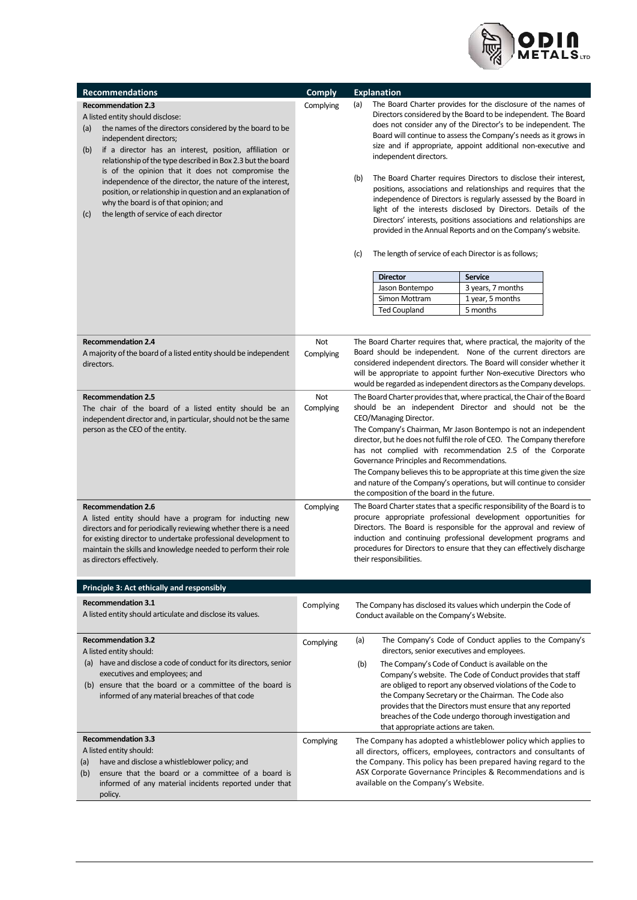

| <b>Recommendations</b>                                                                                                                                                                                                                                                                                                                                                                                                                                                                                                                                                 | <b>Comply</b>    | <b>Explanation</b>                                                                                                                                                                                                                                                                                                                                                                                                                                                                                                                                                                                                                                                                                                                                                                                                                                                                                                                                                                                           |  |  |
|------------------------------------------------------------------------------------------------------------------------------------------------------------------------------------------------------------------------------------------------------------------------------------------------------------------------------------------------------------------------------------------------------------------------------------------------------------------------------------------------------------------------------------------------------------------------|------------------|--------------------------------------------------------------------------------------------------------------------------------------------------------------------------------------------------------------------------------------------------------------------------------------------------------------------------------------------------------------------------------------------------------------------------------------------------------------------------------------------------------------------------------------------------------------------------------------------------------------------------------------------------------------------------------------------------------------------------------------------------------------------------------------------------------------------------------------------------------------------------------------------------------------------------------------------------------------------------------------------------------------|--|--|
| <b>Recommendation 2.3</b><br>A listed entity should disclose:<br>the names of the directors considered by the board to be<br>(a)<br>independent directors;<br>if a director has an interest, position, affiliation or<br>(b)<br>relationship of the type described in Box 2.3 but the board<br>is of the opinion that it does not compromise the<br>independence of the director, the nature of the interest,<br>position, or relationship in question and an explanation of<br>why the board is of that opinion; and<br>the length of service of each director<br>(c) | Complying        | The Board Charter provides for the disclosure of the names of<br>(a)<br>Directors considered by the Board to be independent. The Board<br>does not consider any of the Director's to be independent. The<br>Board will continue to assess the Company's needs as it grows in<br>size and if appropriate, appoint additional non-executive and<br>independent directors.<br>The Board Charter requires Directors to disclose their interest,<br>(b)<br>positions, associations and relationships and requires that the<br>independence of Directors is regularly assessed by the Board in<br>light of the interests disclosed by Directors. Details of the<br>Directors' interests, positions associations and relationships are<br>provided in the Annual Reports and on the Company's website.<br>(c)<br>The length of service of each Director is as follows;<br><b>Director</b><br>Service<br>3 years, 7 months<br>Jason Bontempo<br>Simon Mottram<br>1 year, 5 months<br><b>Ted Coupland</b><br>5 months |  |  |
| <b>Recommendation 2.4</b><br>A majority of the board of a listed entity should be independent<br>directors.                                                                                                                                                                                                                                                                                                                                                                                                                                                            | Not<br>Complying | The Board Charter requires that, where practical, the majority of the<br>Board should be independent. None of the current directors are<br>considered independent directors. The Board will consider whether it<br>will be appropriate to appoint further Non-executive Directors who<br>would be regarded as independent directors as the Company develops.                                                                                                                                                                                                                                                                                                                                                                                                                                                                                                                                                                                                                                                 |  |  |
| <b>Recommendation 2.5</b><br>The chair of the board of a listed entity should be an<br>independent director and, in particular, should not be the same<br>person as the CEO of the entity.                                                                                                                                                                                                                                                                                                                                                                             | Not<br>Complying | The Board Charter provides that, where practical, the Chair of the Board<br>should be an independent Director and should not be the<br>CEO/Managing Director.<br>The Company's Chairman, Mr Jason Bontempo is not an independent<br>director, but he does not fulfil the role of CEO. The Company therefore<br>has not complied with recommendation 2.5 of the Corporate<br>Governance Principles and Recommendations.<br>The Company believes this to be appropriate at this time given the size<br>and nature of the Company's operations, but will continue to consider<br>the composition of the board in the future.                                                                                                                                                                                                                                                                                                                                                                                    |  |  |
| <b>Recommendation 2.6</b><br>A listed entity should have a program for inducting new<br>directors and for periodically reviewing whether there is a need<br>for existing director to undertake professional development to<br>maintain the skills and knowledge needed to perform their role<br>as directors effectively.                                                                                                                                                                                                                                              | Complying        | The Board Charter states that a specific responsibility of the Board is to<br>procure appropriate professional development opportunities for<br>Directors. The Board is responsible for the approval and review of<br>induction and continuing professional development programs and<br>procedures for Directors to ensure that they can effectively discharge<br>their responsibilities.                                                                                                                                                                                                                                                                                                                                                                                                                                                                                                                                                                                                                    |  |  |
| Principle 3: Act ethically and responsibly                                                                                                                                                                                                                                                                                                                                                                                                                                                                                                                             |                  |                                                                                                                                                                                                                                                                                                                                                                                                                                                                                                                                                                                                                                                                                                                                                                                                                                                                                                                                                                                                              |  |  |
| <b>Recommendation 3.1</b><br>A listed entity should articulate and disclose its values.                                                                                                                                                                                                                                                                                                                                                                                                                                                                                | Complying        | The Company has disclosed its values which underpin the Code of<br>Conduct available on the Company's Website.                                                                                                                                                                                                                                                                                                                                                                                                                                                                                                                                                                                                                                                                                                                                                                                                                                                                                               |  |  |
| <b>Recommendation 3.2</b><br>A listed entity should:                                                                                                                                                                                                                                                                                                                                                                                                                                                                                                                   | Complying        | The Company's Code of Conduct applies to the Company's<br>(a)<br>directors, senior executives and employees.                                                                                                                                                                                                                                                                                                                                                                                                                                                                                                                                                                                                                                                                                                                                                                                                                                                                                                 |  |  |
| (a) have and disclose a code of conduct for its directors, senior<br>executives and employees; and<br>(b) ensure that the board or a committee of the board is<br>informed of any material breaches of that code                                                                                                                                                                                                                                                                                                                                                       |                  | The Company's Code of Conduct is available on the<br>(b)<br>Company's website. The Code of Conduct provides that staff<br>are obliged to report any observed violations of the Code to<br>the Company Secretary or the Chairman. The Code also<br>provides that the Directors must ensure that any reported<br>breaches of the Code undergo thorough investigation and<br>that appropriate actions are taken.                                                                                                                                                                                                                                                                                                                                                                                                                                                                                                                                                                                                |  |  |
| <b>Recommendation 3.3</b><br>A listed entity should:<br>have and disclose a whistleblower policy; and<br>(a)<br>ensure that the board or a committee of a board is<br>(b)<br>informed of any material incidents reported under that<br>policy.                                                                                                                                                                                                                                                                                                                         | Complying        | The Company has adopted a whistleblower policy which applies to<br>all directors, officers, employees, contractors and consultants of<br>the Company. This policy has been prepared having regard to the<br>ASX Corporate Governance Principles & Recommendations and is<br>available on the Company's Website.                                                                                                                                                                                                                                                                                                                                                                                                                                                                                                                                                                                                                                                                                              |  |  |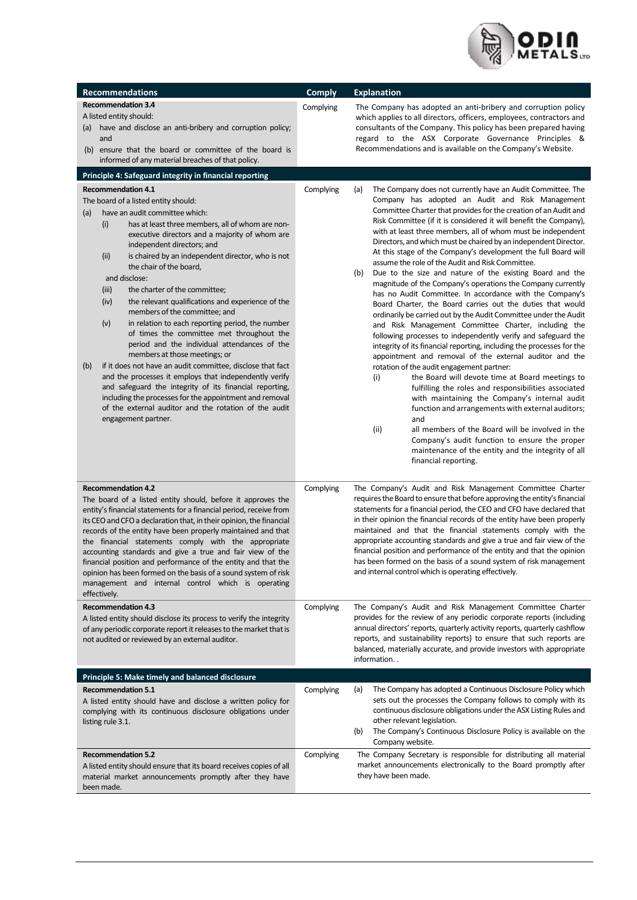

| <b>Recommendations</b>                                                                                                                                                                                                                                                                                                                                                                                                                                                                                                                                                                                                                                                                                                                                                                                                                                                                                                                                                                                                               | <b>Comply</b> | <b>Explanation</b>                                                                                                                                                                                                                                                                                                                                                                                                                                                                                                                                                                                                                                                                                                                                                                                                                                                                                                                                                                                                                                                                                                                                                                                                                                                                                                                                                                                                                                                                                                                                                                            |
|--------------------------------------------------------------------------------------------------------------------------------------------------------------------------------------------------------------------------------------------------------------------------------------------------------------------------------------------------------------------------------------------------------------------------------------------------------------------------------------------------------------------------------------------------------------------------------------------------------------------------------------------------------------------------------------------------------------------------------------------------------------------------------------------------------------------------------------------------------------------------------------------------------------------------------------------------------------------------------------------------------------------------------------|---------------|-----------------------------------------------------------------------------------------------------------------------------------------------------------------------------------------------------------------------------------------------------------------------------------------------------------------------------------------------------------------------------------------------------------------------------------------------------------------------------------------------------------------------------------------------------------------------------------------------------------------------------------------------------------------------------------------------------------------------------------------------------------------------------------------------------------------------------------------------------------------------------------------------------------------------------------------------------------------------------------------------------------------------------------------------------------------------------------------------------------------------------------------------------------------------------------------------------------------------------------------------------------------------------------------------------------------------------------------------------------------------------------------------------------------------------------------------------------------------------------------------------------------------------------------------------------------------------------------------|
| <b>Recommendation 3.4</b><br>A listed entity should:<br>(a) have and disclose an anti-bribery and corruption policy;<br>and<br>(b) ensure that the board or committee of the board is<br>informed of any material breaches of that policy.                                                                                                                                                                                                                                                                                                                                                                                                                                                                                                                                                                                                                                                                                                                                                                                           | Complying     | The Company has adopted an anti-bribery and corruption policy<br>which applies to all directors, officers, employees, contractors and<br>consultants of the Company. This policy has been prepared having<br>regard to the ASX Corporate Governance Principles &<br>Recommendations and is available on the Company's Website.                                                                                                                                                                                                                                                                                                                                                                                                                                                                                                                                                                                                                                                                                                                                                                                                                                                                                                                                                                                                                                                                                                                                                                                                                                                                |
| Principle 4: Safeguard integrity in financial reporting                                                                                                                                                                                                                                                                                                                                                                                                                                                                                                                                                                                                                                                                                                                                                                                                                                                                                                                                                                              |               |                                                                                                                                                                                                                                                                                                                                                                                                                                                                                                                                                                                                                                                                                                                                                                                                                                                                                                                                                                                                                                                                                                                                                                                                                                                                                                                                                                                                                                                                                                                                                                                               |
| <b>Recommendation 4.1</b><br>The board of a listed entity should:<br>have an audit committee which:<br>(a)<br>has at least three members, all of whom are non-<br>(i)<br>executive directors and a majority of whom are<br>independent directors; and<br>(ii)<br>is chaired by an independent director, who is not<br>the chair of the board,<br>and disclose:<br>the charter of the committee;<br>(iii)<br>(iv)<br>the relevant qualifications and experience of the<br>members of the committee; and<br>(v)<br>in relation to each reporting period, the number<br>of times the committee met throughout the<br>period and the individual attendances of the<br>members at those meetings; or<br>if it does not have an audit committee, disclose that fact<br>(b)<br>and the processes it employs that independently verify<br>and safeguard the integrity of its financial reporting,<br>including the processes for the appointment and removal<br>of the external auditor and the rotation of the audit<br>engagement partner. | Complying     | The Company does not currently have an Audit Committee. The<br>(a)<br>Company has adopted an Audit and Risk Management<br>Committee Charter that provides for the creation of an Audit and<br>Risk Committee (if it is considered it will benefit the Company),<br>with at least three members, all of whom must be independent<br>Directors, and which must be chaired by an independent Director.<br>At this stage of the Company's development the full Board will<br>assume the role of the Audit and Risk Committee.<br>Due to the size and nature of the existing Board and the<br>(b)<br>magnitude of the Company's operations the Company currently<br>has no Audit Committee. In accordance with the Company's<br>Board Charter, the Board carries out the duties that would<br>ordinarily be carried out by the Audit Committee under the Audit<br>and Risk Management Committee Charter, including the<br>following processes to independently verify and safeguard the<br>integrity of its financial reporting, including the processes for the<br>appointment and removal of the external auditor and the<br>rotation of the audit engagement partner:<br>the Board will devote time at Board meetings to<br>(i)<br>fulfilling the roles and responsibilities associated<br>with maintaining the Company's internal audit<br>function and arrangements with external auditors;<br>and<br>(ii)<br>all members of the Board will be involved in the<br>Company's audit function to ensure the proper<br>maintenance of the entity and the integrity of all<br>financial reporting. |
| <b>Recommendation 4.2</b><br>The board of a listed entity should, before it approves the<br>entity's financial statements for a financial period, receive from<br>its CEO and CFO a declaration that, in their opinion, the financial<br>records of the entity have been properly maintained and that<br>the financial statements comply with the appropriate<br>accounting standards and give a true and fair view of the<br>financial position and performance of the entity and that the<br>opinion has been formed on the basis of a sound system of risk<br>management and internal control which is operating<br>effectively.                                                                                                                                                                                                                                                                                                                                                                                                  | Complying     | The Company's Audit and Risk Management Committee Charter<br>requires the Board to ensure that before approving the entity's financial<br>statements for a financial period, the CEO and CFO have declared that<br>in their opinion the financial records of the entity have been properly<br>maintained and that the financial statements comply with the<br>appropriate accounting standards and give a true and fair view of the<br>financial position and performance of the entity and that the opinion<br>has been formed on the basis of a sound system of risk management<br>and internal control which is operating effectively.                                                                                                                                                                                                                                                                                                                                                                                                                                                                                                                                                                                                                                                                                                                                                                                                                                                                                                                                                     |
| <b>Recommendation 4.3</b><br>A listed entity should disclose its process to verify the integrity<br>of any periodic corporate report it releases to the market that is<br>not audited or reviewed by an external auditor.                                                                                                                                                                                                                                                                                                                                                                                                                                                                                                                                                                                                                                                                                                                                                                                                            | Complying     | The Company's Audit and Risk Management Committee Charter<br>provides for the review of any periodic corporate reports (including<br>annual directors' reports, quarterly activity reports, quarterly cashflow<br>reports, and sustainability reports) to ensure that such reports are<br>balanced, materially accurate, and provide investors with appropriate<br>information                                                                                                                                                                                                                                                                                                                                                                                                                                                                                                                                                                                                                                                                                                                                                                                                                                                                                                                                                                                                                                                                                                                                                                                                                |
| <b>Principle 5: Make timely and balanced disclosure</b>                                                                                                                                                                                                                                                                                                                                                                                                                                                                                                                                                                                                                                                                                                                                                                                                                                                                                                                                                                              |               |                                                                                                                                                                                                                                                                                                                                                                                                                                                                                                                                                                                                                                                                                                                                                                                                                                                                                                                                                                                                                                                                                                                                                                                                                                                                                                                                                                                                                                                                                                                                                                                               |
| <b>Recommendation 5.1</b><br>A listed entity should have and disclose a written policy for<br>complying with its continuous disclosure obligations under<br>listing rule 3.1.                                                                                                                                                                                                                                                                                                                                                                                                                                                                                                                                                                                                                                                                                                                                                                                                                                                        | Complying     | The Company has adopted a Continuous Disclosure Policy which<br>(a)<br>sets out the processes the Company follows to comply with its<br>continuous disclosure obligations under the ASX Listing Rules and<br>other relevant legislation.<br>The Company's Continuous Disclosure Policy is available on the<br>(b)<br>Company website.                                                                                                                                                                                                                                                                                                                                                                                                                                                                                                                                                                                                                                                                                                                                                                                                                                                                                                                                                                                                                                                                                                                                                                                                                                                         |
| <b>Recommendation 5.2</b><br>A listed entity should ensure that its board receives copies of all<br>material market announcements promptly after they have<br>been made.                                                                                                                                                                                                                                                                                                                                                                                                                                                                                                                                                                                                                                                                                                                                                                                                                                                             | Complying     | The Company Secretary is responsible for distributing all material<br>market announcements electronically to the Board promptly after<br>they have been made.                                                                                                                                                                                                                                                                                                                                                                                                                                                                                                                                                                                                                                                                                                                                                                                                                                                                                                                                                                                                                                                                                                                                                                                                                                                                                                                                                                                                                                 |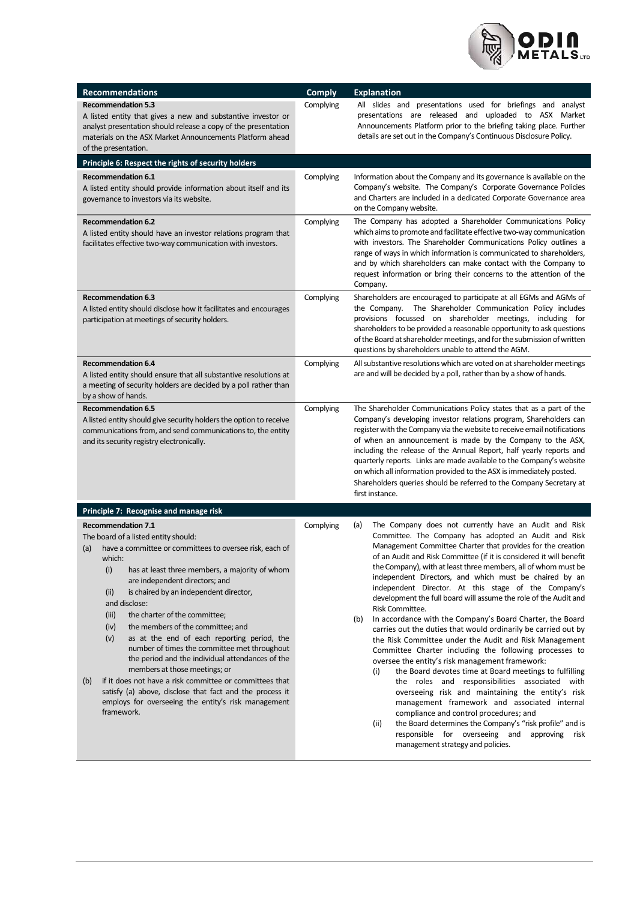

| <b>Recommendations</b>                                                                                                                                                                                                                                                                                                                                                                                                                                                                                                                                                                                                                                                                                                                                                                           | <b>Comply</b> | <b>Explanation</b>                                                                                                                                                                                                                                                                                                                                                                                                                                                                                                                                                                                                                                                                                                                                                                                                                                                                                                                                                                                                                                                                                                                                                                                                                                                             |
|--------------------------------------------------------------------------------------------------------------------------------------------------------------------------------------------------------------------------------------------------------------------------------------------------------------------------------------------------------------------------------------------------------------------------------------------------------------------------------------------------------------------------------------------------------------------------------------------------------------------------------------------------------------------------------------------------------------------------------------------------------------------------------------------------|---------------|--------------------------------------------------------------------------------------------------------------------------------------------------------------------------------------------------------------------------------------------------------------------------------------------------------------------------------------------------------------------------------------------------------------------------------------------------------------------------------------------------------------------------------------------------------------------------------------------------------------------------------------------------------------------------------------------------------------------------------------------------------------------------------------------------------------------------------------------------------------------------------------------------------------------------------------------------------------------------------------------------------------------------------------------------------------------------------------------------------------------------------------------------------------------------------------------------------------------------------------------------------------------------------|
| <b>Recommendation 5.3</b><br>A listed entity that gives a new and substantive investor or<br>analyst presentation should release a copy of the presentation<br>materials on the ASX Market Announcements Platform ahead<br>of the presentation.                                                                                                                                                                                                                                                                                                                                                                                                                                                                                                                                                  | Complying     | All slides and presentations used for briefings and analyst<br>presentations are released and uploaded to ASX Market<br>Announcements Platform prior to the briefing taking place. Further<br>details are set out in the Company's Continuous Disclosure Policy.                                                                                                                                                                                                                                                                                                                                                                                                                                                                                                                                                                                                                                                                                                                                                                                                                                                                                                                                                                                                               |
| Principle 6: Respect the rights of security holders                                                                                                                                                                                                                                                                                                                                                                                                                                                                                                                                                                                                                                                                                                                                              |               |                                                                                                                                                                                                                                                                                                                                                                                                                                                                                                                                                                                                                                                                                                                                                                                                                                                                                                                                                                                                                                                                                                                                                                                                                                                                                |
| <b>Recommendation 6.1</b><br>A listed entity should provide information about itself and its<br>governance to investors via its website.                                                                                                                                                                                                                                                                                                                                                                                                                                                                                                                                                                                                                                                         | Complying     | Information about the Company and its governance is available on the<br>Company's website. The Company's Corporate Governance Policies<br>and Charters are included in a dedicated Corporate Governance area<br>on the Company website.                                                                                                                                                                                                                                                                                                                                                                                                                                                                                                                                                                                                                                                                                                                                                                                                                                                                                                                                                                                                                                        |
| <b>Recommendation 6.2</b><br>A listed entity should have an investor relations program that<br>facilitates effective two-way communication with investors.                                                                                                                                                                                                                                                                                                                                                                                                                                                                                                                                                                                                                                       | Complying     | The Company has adopted a Shareholder Communications Policy<br>which aims to promote and facilitate effective two-way communication<br>with investors. The Shareholder Communications Policy outlines a<br>range of ways in which information is communicated to shareholders,<br>and by which shareholders can make contact with the Company to<br>request information or bring their concerns to the attention of the<br>Company.                                                                                                                                                                                                                                                                                                                                                                                                                                                                                                                                                                                                                                                                                                                                                                                                                                            |
| <b>Recommendation 6.3</b><br>A listed entity should disclose how it facilitates and encourages<br>participation at meetings of security holders.                                                                                                                                                                                                                                                                                                                                                                                                                                                                                                                                                                                                                                                 | Complying     | Shareholders are encouraged to participate at all EGMs and AGMs of<br>the Company. The Shareholder Communication Policy includes<br>provisions focussed on shareholder meetings, including for<br>shareholders to be provided a reasonable opportunity to ask questions<br>of the Board at shareholder meetings, and for the submission of written<br>questions by shareholders unable to attend the AGM.                                                                                                                                                                                                                                                                                                                                                                                                                                                                                                                                                                                                                                                                                                                                                                                                                                                                      |
| <b>Recommendation 6.4</b><br>A listed entity should ensure that all substantive resolutions at<br>a meeting of security holders are decided by a poll rather than<br>by a show of hands.                                                                                                                                                                                                                                                                                                                                                                                                                                                                                                                                                                                                         | Complying     | All substantive resolutions which are voted on at shareholder meetings<br>are and will be decided by a poll, rather than by a show of hands.                                                                                                                                                                                                                                                                                                                                                                                                                                                                                                                                                                                                                                                                                                                                                                                                                                                                                                                                                                                                                                                                                                                                   |
| <b>Recommendation 6.5</b><br>A listed entity should give security holders the option to receive<br>communications from, and send communications to, the entity<br>and its security registry electronically.                                                                                                                                                                                                                                                                                                                                                                                                                                                                                                                                                                                      | Complying     | The Shareholder Communications Policy states that as a part of the<br>Company's developing investor relations program, Shareholders can<br>register with the Company via the website to receive email notifications<br>of when an announcement is made by the Company to the ASX,<br>including the release of the Annual Report, half yearly reports and<br>quarterly reports. Links are made available to the Company's website<br>on which all information provided to the ASX is immediately posted.<br>Shareholders queries should be referred to the Company Secretary at<br>first instance.                                                                                                                                                                                                                                                                                                                                                                                                                                                                                                                                                                                                                                                                              |
| Principle 7: Recognise and manage risk                                                                                                                                                                                                                                                                                                                                                                                                                                                                                                                                                                                                                                                                                                                                                           |               |                                                                                                                                                                                                                                                                                                                                                                                                                                                                                                                                                                                                                                                                                                                                                                                                                                                                                                                                                                                                                                                                                                                                                                                                                                                                                |
| <b>Recommendation 7.1</b><br>The board of a listed entity should:<br>have a committee or committees to oversee risk, each of<br>(a)<br>which:<br>(i)<br>has at least three members, a majority of whom<br>are independent directors; and<br>(ii)<br>is chaired by an independent director,<br>and disclose:<br>(iii)<br>the charter of the committee;<br>the members of the committee; and<br>(iv)<br>(v)<br>as at the end of each reporting period, the<br>number of times the committee met throughout<br>the period and the individual attendances of the<br>members at those meetings; or<br>if it does not have a risk committee or committees that<br>(b)<br>satisfy (a) above, disclose that fact and the process it<br>employs for overseeing the entity's risk management<br>framework. | Complying     | The Company does not currently have an Audit and Risk<br>(a)<br>Committee. The Company has adopted an Audit and Risk<br>Management Committee Charter that provides for the creation<br>of an Audit and Risk Committee (if it is considered it will benefit<br>the Company), with at least three members, all of whom must be<br>independent Directors, and which must be chaired by an<br>independent Director. At this stage of the Company's<br>development the full board will assume the role of the Audit and<br>Risk Committee.<br>In accordance with the Company's Board Charter, the Board<br>(b)<br>carries out the duties that would ordinarily be carried out by<br>the Risk Committee under the Audit and Risk Management<br>Committee Charter including the following processes to<br>oversee the entity's risk management framework:<br>the Board devotes time at Board meetings to fulfilling<br>(i)<br>the roles and responsibilities associated with<br>overseeing risk and maintaining the entity's risk<br>management framework and associated internal<br>compliance and control procedures; and<br>the Board determines the Company's "risk profile" and is<br>(ii)<br>responsible for overseeing and approving risk<br>management strategy and policies. |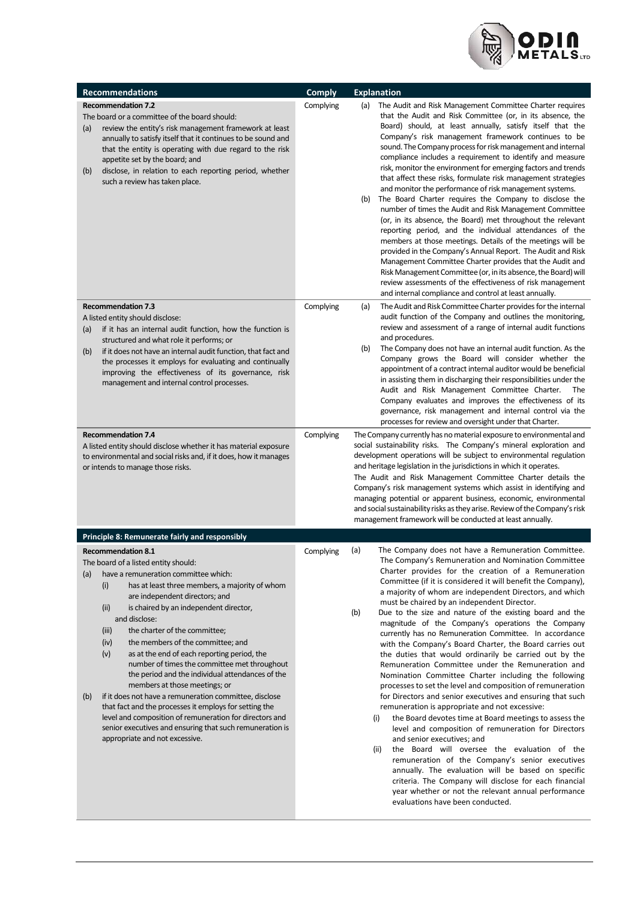

| <b>Recommendations</b>                                                                                                                                                                                                                                                                                                                                                                                                                                                                                                                                                                                                                                                                                                                                                                                                                               | <b>Comply</b>          | <b>Explanation</b>                                                                                                                                                                                                                                                                                                                                                                                                                                                                                                                                                                                                                                                                                                                                                                                                                                                                                                                                                                                                                                                                                                                                                                                                                                                                                                                                                                                                               |
|------------------------------------------------------------------------------------------------------------------------------------------------------------------------------------------------------------------------------------------------------------------------------------------------------------------------------------------------------------------------------------------------------------------------------------------------------------------------------------------------------------------------------------------------------------------------------------------------------------------------------------------------------------------------------------------------------------------------------------------------------------------------------------------------------------------------------------------------------|------------------------|----------------------------------------------------------------------------------------------------------------------------------------------------------------------------------------------------------------------------------------------------------------------------------------------------------------------------------------------------------------------------------------------------------------------------------------------------------------------------------------------------------------------------------------------------------------------------------------------------------------------------------------------------------------------------------------------------------------------------------------------------------------------------------------------------------------------------------------------------------------------------------------------------------------------------------------------------------------------------------------------------------------------------------------------------------------------------------------------------------------------------------------------------------------------------------------------------------------------------------------------------------------------------------------------------------------------------------------------------------------------------------------------------------------------------------|
| <b>Recommendation 7.2</b><br>The board or a committee of the board should:<br>review the entity's risk management framework at least<br>(a)<br>annually to satisfy itself that it continues to be sound and<br>that the entity is operating with due regard to the risk<br>appetite set by the board; and<br>disclose, in relation to each reporting period, whether<br>(b)<br>such a review has taken place.                                                                                                                                                                                                                                                                                                                                                                                                                                        | Complying              | The Audit and Risk Management Committee Charter requires<br>(a)<br>that the Audit and Risk Committee (or, in its absence, the<br>Board) should, at least annually, satisfy itself that the<br>Company's risk management framework continues to be<br>sound. The Company process for risk management and internal<br>compliance includes a requirement to identify and measure<br>risk, monitor the environment for emerging factors and trends<br>that affect these risks, formulate risk management strategies<br>and monitor the performance of risk management systems.<br>The Board Charter requires the Company to disclose the<br>(b)<br>number of times the Audit and Risk Management Committee<br>(or, in its absence, the Board) met throughout the relevant<br>reporting period, and the individual attendances of the<br>members at those meetings. Details of the meetings will be<br>provided in the Company's Annual Report. The Audit and Risk<br>Management Committee Charter provides that the Audit and<br>Risk Management Committee (or, in its absence, the Board) will<br>review assessments of the effectiveness of risk management<br>and internal compliance and control at least annually.                                                                                                                                                                                                              |
| <b>Recommendation 7.3</b><br>A listed entity should disclose:<br>if it has an internal audit function, how the function is<br>(a)<br>structured and what role it performs; or<br>if it does not have an internal audit function, that fact and<br>(b)<br>the processes it employs for evaluating and continually<br>improving the effectiveness of its governance, risk<br>management and internal control processes.<br><b>Recommendation 7.4</b><br>A listed entity should disclose whether it has material exposure<br>to environmental and social risks and, if it does, how it manages<br>or intends to manage those risks.                                                                                                                                                                                                                     | Complying<br>Complying | The Audit and Risk Committee Charter provides for the internal<br>(a)<br>audit function of the Company and outlines the monitoring,<br>review and assessment of a range of internal audit functions<br>and procedures.<br>The Company does not have an internal audit function. As the<br>(b)<br>Company grows the Board will consider whether the<br>appointment of a contract internal auditor would be beneficial<br>in assisting them in discharging their responsibilities under the<br>Audit and Risk Management Committee Charter.<br>The<br>Company evaluates and improves the effectiveness of its<br>governance, risk management and internal control via the<br>processes for review and oversight under that Charter.<br>The Company currently has no material exposure to environmental and<br>social sustainability risks. The Company's mineral exploration and<br>development operations will be subject to environmental regulation<br>and heritage legislation in the jurisdictions in which it operates.<br>The Audit and Risk Management Committee Charter details the<br>Company's risk management systems which assist in identifying and<br>managing potential or apparent business, economic, environmental<br>and social sustainability risks as they arise. Review of the Company's risk<br>management framework will be conducted at least annually.                                                  |
| Principle 8: Remunerate fairly and responsibly                                                                                                                                                                                                                                                                                                                                                                                                                                                                                                                                                                                                                                                                                                                                                                                                       |                        |                                                                                                                                                                                                                                                                                                                                                                                                                                                                                                                                                                                                                                                                                                                                                                                                                                                                                                                                                                                                                                                                                                                                                                                                                                                                                                                                                                                                                                  |
| <b>Recommendation 8.1</b><br>The board of a listed entity should:<br>have a remuneration committee which:<br>(a)<br>(i)<br>has at least three members, a majority of whom<br>are independent directors; and<br>is chaired by an independent director,<br>(ii)<br>and disclose:<br>(iii)<br>the charter of the committee;<br>the members of the committee; and<br>(iv)<br>as at the end of each reporting period, the<br>(v)<br>number of times the committee met throughout<br>the period and the individual attendances of the<br>members at those meetings; or<br>if it does not have a remuneration committee, disclose<br>(b)<br>that fact and the processes it employs for setting the<br>level and composition of remuneration for directors and<br>senior executives and ensuring that such remuneration is<br>appropriate and not excessive. | Complying              | (a)<br>The Company does not have a Remuneration Committee.<br>The Company's Remuneration and Nomination Committee<br>Charter provides for the creation of a Remuneration<br>Committee (if it is considered it will benefit the Company),<br>a majority of whom are independent Directors, and which<br>must be chaired by an independent Director.<br>(b)<br>Due to the size and nature of the existing board and the<br>magnitude of the Company's operations the Company<br>currently has no Remuneration Committee. In accordance<br>with the Company's Board Charter, the Board carries out<br>the duties that would ordinarily be carried out by the<br>Remuneration Committee under the Remuneration and<br>Nomination Committee Charter including the following<br>processes to set the level and composition of remuneration<br>for Directors and senior executives and ensuring that such<br>remuneration is appropriate and not excessive:<br>the Board devotes time at Board meetings to assess the<br>(i)<br>level and composition of remuneration for Directors<br>and senior executives; and<br>(ii)<br>the Board will oversee the evaluation of the<br>remuneration of the Company's senior executives<br>annually. The evaluation will be based on specific<br>criteria. The Company will disclose for each financial<br>year whether or not the relevant annual performance<br>evaluations have been conducted. |